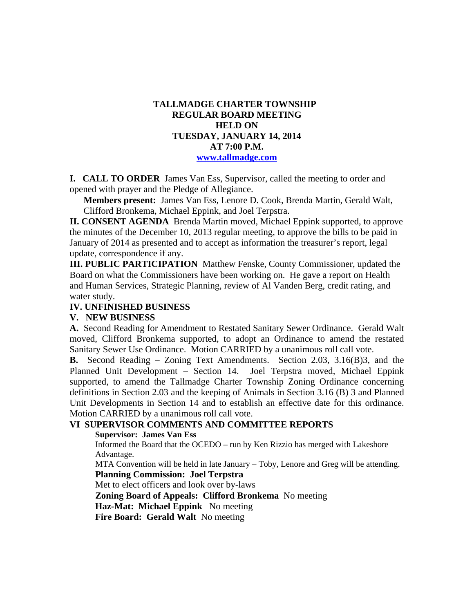## **TALLMADGE CHARTER TOWNSHIP REGULAR BOARD MEETING HELD ON TUESDAY, JANUARY 14, 2014 AT 7:00 P.M. www.tallmadge.com**

**I. CALL TO ORDER** James Van Ess, Supervisor, called the meeting to order and opened with prayer and the Pledge of Allegiance.

**Members present:** James Van Ess, Lenore D. Cook, Brenda Martin, Gerald Walt, Clifford Bronkema, Michael Eppink, and Joel Terpstra.

**II. CONSENT AGENDA** Brenda Martin moved, Michael Eppink supported, to approve the minutes of the December 10, 2013 regular meeting, to approve the bills to be paid in January of 2014 as presented and to accept as information the treasurer's report, legal update, correspondence if any.

**III. PUBLIC PARTICIPATION** Matthew Fenske, County Commissioner, updated the Board on what the Commissioners have been working on. He gave a report on Health and Human Services, Strategic Planning, review of Al Vanden Berg, credit rating, and water study.

#### **IV. UNFINISHED BUSINESS**

## **V. NEW BUSINESS**

**A.** Second Reading for Amendment to Restated Sanitary Sewer Ordinance. Gerald Walt moved, Clifford Bronkema supported, to adopt an Ordinance to amend the restated Sanitary Sewer Use Ordinance. Motion CARRIED by a unanimous roll call vote.

**B.** Second Reading – Zoning Text Amendments. Section 2.03, 3.16(B)3, and the Planned Unit Development – Section 14. Joel Terpstra moved, Michael Eppink supported, to amend the Tallmadge Charter Township Zoning Ordinance concerning definitions in Section 2.03 and the keeping of Animals in Section 3.16 (B) 3 and Planned Unit Developments in Section 14 and to establish an effective date for this ordinance. Motion CARRIED by a unanimous roll call vote.

## **VI SUPERVISOR COMMENTS AND COMMITTEE REPORTS**

 **Supervisor: James Van Ess** 

 Informed the Board that the OCEDO – run by Ken Rizzio has merged with Lakeshore Advantage.

 MTA Convention will be held in late January – Toby, Lenore and Greg will be attending. **Planning Commission: Joel Terpstra** 

Met to elect officers and look over by-laws

**Zoning Board of Appeals: Clifford Bronkema** No meeting

**Haz-Mat: Michael Eppink** No meeting

**Fire Board: Gerald Walt** No meeting